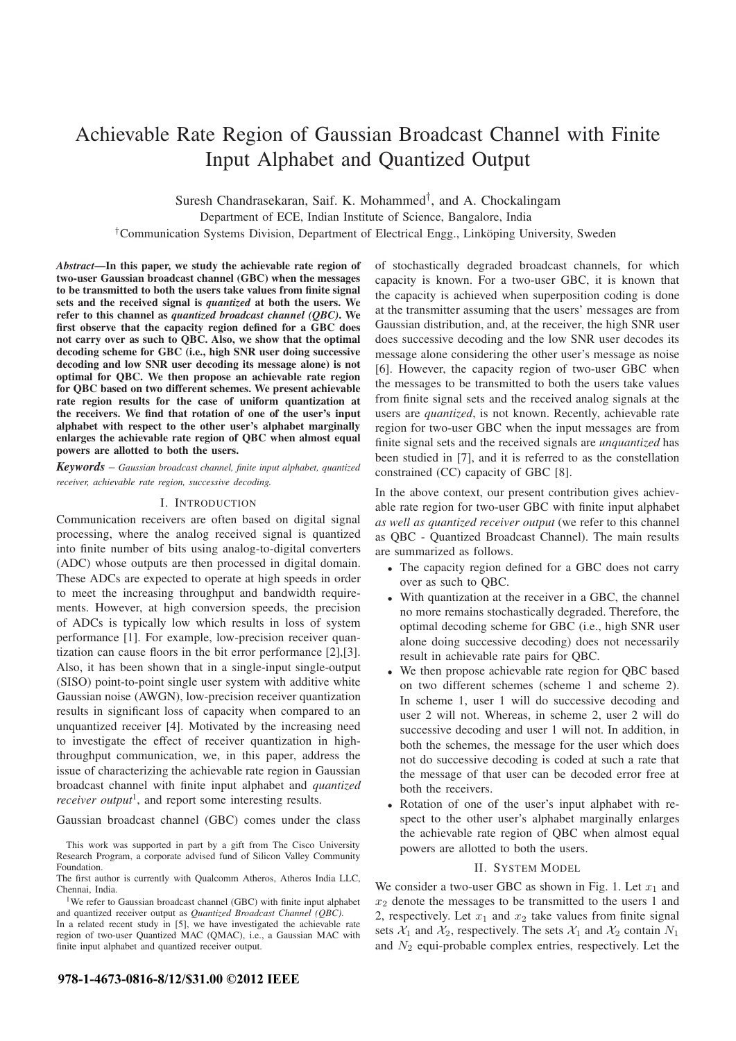# Achievable Rate Region of Gaussian Broadcast Channel with Finite Input Alphabet and Quantized Output

Suresh Chandrasekaran, Saif. K. Mohammed†, and A. Chockalingam

Department of ECE, Indian Institute of Science, Bangalore, India

<sup>†</sup>Communication Systems Division, Department of Electrical Engg., Link öping University, Sweden

Abstract—In this paper, we study the achievable rate region of two-user Gaussian broadcast channel (GBC) when the messages to be transmitted to both the users take values from finite signal sets and the received signal is quantized at both the users. We refer to this channel as quantized broadcast channel  $(QBC)$ . We first observe that the capacity region defined for a GBC does not carry over as such to QBC. Also, we show that the optimal decoding scheme for GBC (i.e., high SNR user doing successive decoding and low SNR user decoding its message alone) is not optimal for QBC. We then propose an achievable rate region for QBC based on two different schemes. We present achievable rate region results for the case of uniform quantization at the receivers. We find that rotation of one of the user's input alphabet with respect to the other user's alphabet marginally enlarges the achievable rate region of QBC when almost equal powers are allotted to both the users.

 $Keywords - Gaussian$  broadcast channel, finite input alphabet, quantized receiver, achievable rate region, successive decoding.

### I. INTRODUCTION

Communication receivers are often based on digital signal processing, where the analog received signal is quantized into finite number of bits using analog-to-digital converters (ADC) whose outputs are then processed in digital domain. These ADCs are expected to operate at high speeds in order to meet the increasing throughput and bandwidth requirements. However, at high conversion speeds, the precision of ADCs is typically low which results in loss of system performance [1]. For example, low-precision receiver quantization can cause floors in the bit error performance [2],[3]. Also, it has been shown that in a single-input single-output (SISO) point-to-point single user system with additive white Gaussian noise (AWGN), low-precision receiver quantization results in significant loss of capacity when compared to an unquantized receiver [4]. Motivated by the increasing need to investigate the effect of receiver quantization in highthroughput communication, we, in this paper, address the issue of characterizing the achievable rate region in Gaussian broadcast channel with finite input alphabet and quantized *receiver output*<sup>1</sup>, and report some interesting results.

Gaussian broadcast channel (GBC) comes under the class

This work was supported in part by a gift from The Cisco University Research Program, a corporate advised fund of Silicon Valley Community Foundation.

The first author is currently with Qualcomm Atheros, Atheros India LLC, Chennai, India.

<sup>1</sup>We refer to Gaussian broadcast channel (GBC) with finite input alphabet and quantized receiver output as *Quantized Broadcast Channel (QBC)*.

In a related recent study in [5], we have investigated the achievable rate region of two-user Quantized MAC (QMAC), i.e., a Gaussian MAC with finite input alphabet and quantized receiver output.

of stochastically degraded broadcast channels, for which capacity is known. For a two-user GBC, it is known that the capacity is achieved when superposition coding is done at the transmitter assuming that the users' messages are from Gaussian distribution, and, at the receiver, the high SNR user does successive decoding and the low SNR user decodes its message alone considering the other user's message as noise [6]. However, the capacity region of two-user GBC when the messages to be transmitted to both the users take values from finite signal sets and the received analog signals at the users are quantized, is not known. Recently, achievable rate region for two-user GBC when the input messages are from finite signal sets and the received signals are unquantized has been studied in [7], and it is referred to as the constellation constrained (CC) capacity of GBC [8].

In the above context, our present contribution gives achievable rate region for two-user GBC with finite input alphabet as well as quantized receiver output (we refer to this channel as QBC - Quantized Broadcast Channel). The main results are summarized as follows.

- The capacity region defined for a GBC does not carry over as such to QBC.
- With quantization at the receiver in a GBC, the channel no more remains stochastically degraded. Therefore, the optimal decoding scheme for GBC (i.e., high SNR user alone doing successive decoding) does not necessarily result in achievable rate pairs for QBC.
- We then propose achievable rate region for QBC based on two different schemes (scheme 1 and scheme 2). In scheme 1, user 1 will do successive decoding and user 2 will not. Whereas, in scheme 2, user 2 will do successive decoding and user 1 will not. In addition, in both the schemes, the message for the user which does not do successive decoding is coded at such a rate that the message of that user can be decoded error free at both the receivers.
- Rotation of one of the user's input alphabet with respect to the other user's alphabet marginally enlarges the achievable rate region of QBC when almost equal powers are allotted to both the users.

### II. SYSTEM MODEL

We consider a two-user GBC as shown in Fig. 1. Let  $x_1$  and  $x_2$  denote the messages to be transmitted to the users 1 and 2, respectively. Let  $x_1$  and  $x_2$  take values from finite signal sets  $\mathcal{X}_1$  and  $\mathcal{X}_2$ , respectively. The sets  $\mathcal{X}_1$  and  $\mathcal{X}_2$  contain  $N_1$ and  $N_2$  equi-probable complex entries, respectively. Let the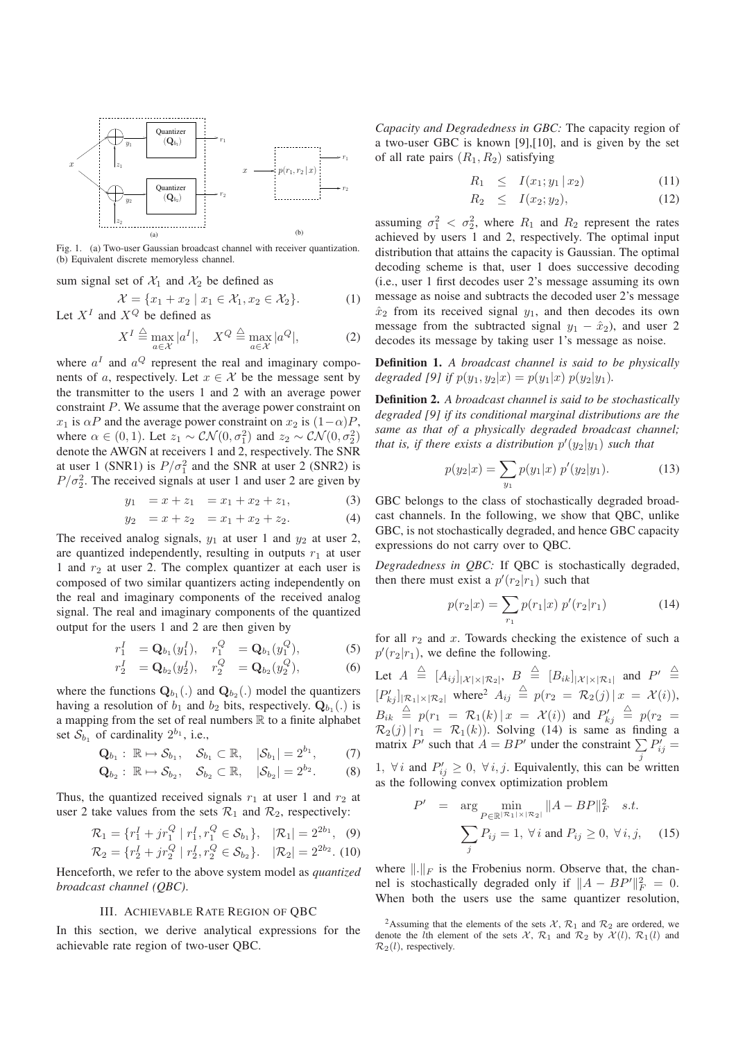

Fig. 1. (a) Two-user Gaussian broadcast channel with receiver quantization. (b) Equivalent discrete memoryless channel.

sum signal set of  $\mathcal{X}_1$  and  $\mathcal{X}_2$  be defined as

 $\mathcal{X} = \{x_1 + x_2 \mid x_1 \in \mathcal{X}_1, x_2 \in \mathcal{X}_2\}.$  (1) Let  $X^I$  and  $X^Q$  be defined as

$$
X^{I} \stackrel{\triangle}{=} \max_{a \in \mathcal{X}} |a^{I}|, \quad X^{Q} \stackrel{\triangle}{=} \max_{a \in \mathcal{X}} |a^{Q}|,
$$
 (2)

where  $a<sup>I</sup>$  and  $a<sup>Q</sup>$  represent the real and imaginary components of a, respectively. Let  $x \in \mathcal{X}$  be the message sent by the transmitter to the users 1 and 2 with an average power constraint P. We assume that the average power constraint on  $x_1$  is  $\alpha P$  and the average power constraint on  $x_2$  is  $(1-\alpha)P$ , where  $\alpha \in (0, 1)$ . Let  $z_1 \sim \mathcal{CN}(0, \sigma_1^2)$  and  $z_2 \sim \mathcal{CN}(0, \sigma_2^2)$ denote the AWGN at receivers 1 and 2, respectively. The SNR at user 1 (SNR1) is  $P/\sigma_1^2$  and the SNR at user 2 (SNR2) is  $P/\sigma_2^2$ . The received signals at user 1 and user 2 are given by

 $y_1 = x + z_1 = x_1 + x_2 + z_1,$  (3)

$$
y_2 = x + z_2 = x_1 + x_2 + z_2. \tag{4}
$$

The received analog signals,  $y_1$  at user 1 and  $y_2$  at user 2, are quantized independently, resulting in outputs  $r_1$  at user 1 and  $r_2$  at user 2. The complex quantizer at each user is composed of two similar quantizers acting independently on the real and imaginary components of the received analog signal. The real and imaginary components of the quantized output for the users 1 and 2 are then given by

$$
r_1^I = \mathbf{Q}_{b_1}(y_1^I), \quad r_1^Q = \mathbf{Q}_{b_1}(y_1^Q), \tag{5}
$$

$$
r_2^I = \mathbf{Q}_{b_2}(y_2^I), \quad r_2^Q = \mathbf{Q}_{b_2}(y_2^Q), \tag{6}
$$

where the functions  $\mathbf{Q}_{b_1}$ .) and  $\mathbf{Q}_{b_2}$ .) model the quantizers having a resolution of  $b_1$  and  $b_2$  bits, respectively.  $\mathbf{Q}_{b_1}$  (.) is a mapping from the set of real numbers  $\mathbb R$  to a finite alphabet set  $S_{b_1}$  of cardinality  $2^{b_1}$ , i.e.,

$$
\mathbf{Q}_{b_1}: \ \mathbb{R} \mapsto \mathcal{S}_{b_1}, \quad \mathcal{S}_{b_1} \subset \mathbb{R}, \quad |\mathcal{S}_{b_1}| = 2^{b_1}, \quad (7)
$$

$$
\mathbf{Q}_{b_2}: \ \mathbb{R} \mapsto \mathcal{S}_{b_2}, \quad \mathcal{S}_{b_2} \subset \mathbb{R}, \quad |\mathcal{S}_{b_2}| = 2^{b_2}.\tag{8}
$$

Thus, the quantized received signals  $r_1$  at user 1 and  $r_2$  at user 2 take values from the sets  $\mathcal{R}_1$  and  $\mathcal{R}_2$ , respectively:

$$
\mathcal{R}_1 = \{r_1^I + jr_1^Q \mid r_1^I, r_1^Q \in \mathcal{S}_{b_1}\}, \quad |\mathcal{R}_1| = 2^{2b_1}, \quad (9)
$$

$$
\mathcal{R}_2 = \{r_2^I + j r_2^Q \mid r_2^I, r_2^Q \in \mathcal{S}_{b_2}\}.
$$
  $|\mathcal{R}_2| = 2^{2b_2}.$  (10)

Henceforth, we refer to the above system model as quantized broadcast channel (QBC).

## III. ACHIEVABLE RATE REGION OF QBC

In this section, we derive analytical expressions for the achievable rate region of two-user QBC.

Capacity and Degradedness in GBC: The capacity region of a two-user GBC is known [9],[10], and is given by the set of all rate pairs  $(R_1, R_2)$  satisfying

$$
R_1 \leq I(x_1; y_1 | x_2) \tag{11}
$$

$$
R_2 \leq I(x_2; y_2), \tag{12}
$$

assuming  $\sigma_1^2 < \sigma_2^2$ , where  $R_1$  and  $R_2$  represent the rates achieved by users 1 and 2, respectively. The optimal input distribution that attains the capacity is Gaussian. The optimal decoding scheme is that, user 1 does successive decoding (i.e., user 1 first decodes user 2's message assuming its own message as noise and subtracts the decoded user 2's message  $\hat{x}_2$  from its received signal  $y_1$ , and then decodes its own message from the subtracted signal  $y_1 - \hat{x}_2$ , and user 2 decodes its message by taking user 1's message as noise.

Definition 1. A broadcast channel is said to be physically degraded [9] if  $p(y_1, y_2|x) = p(y_1|x) p(y_2|y_1)$ .

Definition 2. A broadcast channel is said to be stochastically degraded [9] if its conditional marginal distributions are the same as that of a physically degraded broadcast channel; that is, if there exists a distribution  $p'(y_2|y_1)$  such that

$$
p(y_2|x) = \sum_{y_1} p(y_1|x) \ p'(y_2|y_1). \tag{13}
$$

GBC belongs to the class of stochastically degraded broadcast channels. In the following, we show that QBC, unlike GBC, is not stochastically degraded, and hence GBC capacity expressions do not carry over to QBC.

Degradedness in QBC: If QBC is stochastically degraded, then there must exist a  $p'(r_2|r_1)$  such that

$$
p(r_2|x) = \sum_{r_1} p(r_1|x) \ p'(r_2|r_1) \tag{14}
$$

for all  $r_2$  and x. Towards checking the existence of such a  $p'(r_2|r_1)$ , we define the following.

Let  $A \triangleq [A_{ij}]_{|\mathcal{X}| \times |\mathcal{R}_2|}, B \triangleq [B_{ik}]_{|\mathcal{X}| \times |\mathcal{R}_1|}$  and  $P' \triangleq$  $[P'_{kj}]_{|\mathcal{R}_1|\times|\mathcal{R}_2|}$  where<sup>2</sup>  $A_{ij} \triangleq p(r_2 = \mathcal{R}_2(j) | x = \mathcal{X}(i)),$  $B_{ik} \triangleq p(r_1 = \mathcal{R}_1(k) | x = \mathcal{X}(i))$  and  $P'_{kj}$  $\stackrel{\triangle}{=} p(r_2 =$  $\mathcal{R}_2(j)|r_1 = \mathcal{R}_1(k)$ . Solving (14) is same as finding a matrix P' such that  $A = BP'$  under the constraint  $\sum_j P'_{ij} =$ 

1,  $\forall i$  and  $P'_{ij} \geq 0$ ,  $\forall i, j$ . Equivalently, this can be written as the following convex optimization problem

$$
P' = \arg \min_{P \in \mathbb{R}^{|R_1| \times |R_2|}} \|A - BP\|_F^2 \quad s.t.
$$
  

$$
\sum_j P_{ij} = 1, \forall i \text{ and } P_{ij} \ge 0, \forall i, j, \quad (15)
$$

where  $\|.\|_F$  is the Frobenius norm. Observe that, the channel is stochastically degraded only if  $||A - BP'||_F^2 = 0$ . When both the users use the same quantizer resolution,

<sup>&</sup>lt;sup>2</sup>Assuming that the elements of the sets  $\mathcal{X}, \mathcal{R}_1$  and  $\mathcal{R}_2$  are ordered, we denote the *l*th element of the sets  $\mathcal{X}, \mathcal{R}_1$  and  $\mathcal{R}_2$  by  $\mathcal{X}(l), \mathcal{R}_1(l)$  and  $\mathcal{R}_2(l)$ , respectively.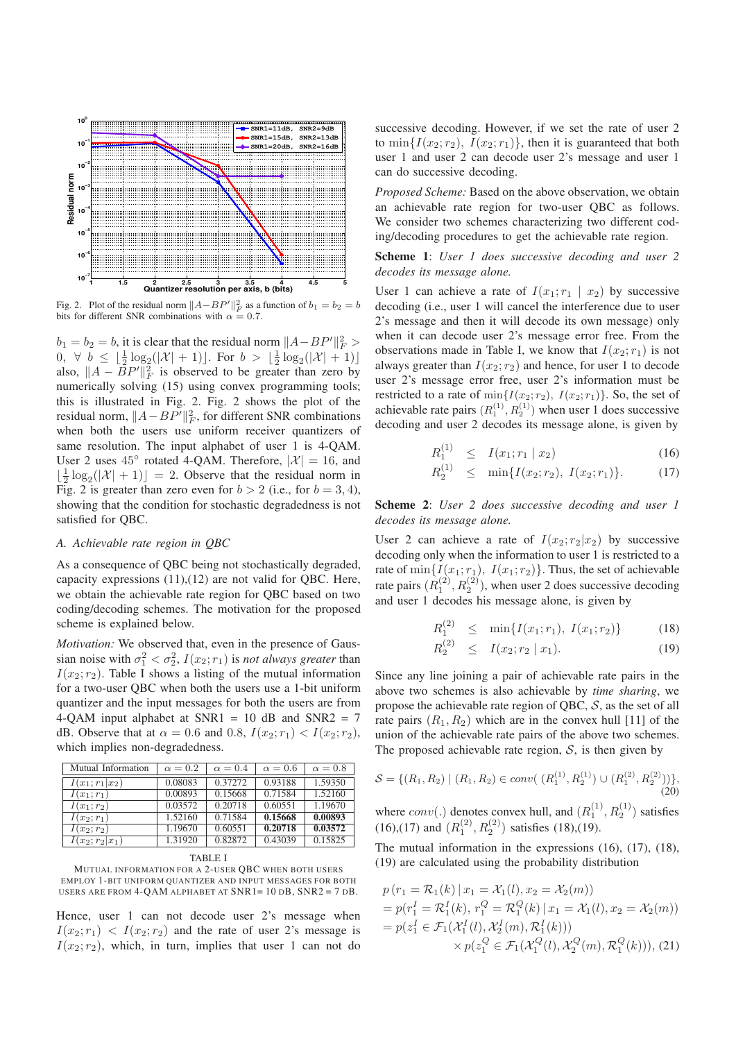

Fig. 2. Plot of the residual norm  $||A - BP'||_F^2$  as a function of  $b_1 = b_2 = b$ bits for different SNR combinations with  $\alpha = 0.7$ .

 $b_1 = b_2 = b$ , it is clear that the residual norm  $||A - BP'||_F^2 >$ 0,  $\forall b \leq \lfloor \frac{1}{2} \log_2(|\mathcal{X}| + 1) \rfloor$ . For  $b > \lfloor \frac{1}{2} \log_2(|\mathcal{X}| + 1) \rfloor$ also,  $||A - \overline{B}P'||_F^2$  is observed to be greater than zero by numerically solving (15) using convex programming tools; this is illustrated in Fig. 2. Fig. 2 shows the plot of the residual norm,  $||A - BP'||_F^2$ , for different SNR combinations when both the users use uniform receiver quantizers of same resolution. The input alphabet of user 1 is 4-QAM. User 2 uses  $45^{\circ}$  rotated 4-QAM. Therefore,  $|\mathcal{X}| = 16$ , and  $\lfloor \frac{1}{2} \log_2(|\mathcal{X}| + 1) \rfloor = 2$ . Observe that the residual norm in Fig. 2 is greater than zero even for  $b > 2$  (i.e., for  $b = 3, 4$ ), showing that the condition for stochastic degradedness is not satisfied for QBC.

#### A. Achievable rate region in QBC

As a consequence of QBC being not stochastically degraded, capacity expressions  $(11),(12)$  are not valid for QBC. Here, we obtain the achievable rate region for QBC based on two coding/decoding schemes. The motivation for the proposed scheme is explained below.

Motivation: We observed that, even in the presence of Gaussian noise with  $\sigma_1^2 < \sigma_2^2$ ,  $I(x_2; r_1)$  is *not always greater* than  $I(x_2; r_2)$ . Table I shows a listing of the mutual information for a two-user QBC when both the users use a 1-bit uniform quantizer and the input messages for both the users are from 4-QAM input alphabet at SNR1 = 10 dB and SNR2 =  $7$ dB. Observe that at  $\alpha = 0.6$  and 0.8,  $I(x_2; r_1) < I(x_2; r_2)$ , which implies non-degradedness.

| Mutual Information | $\alpha = 0.2$ | $\alpha = 0.4$ | $\alpha = 0.6$ | $\alpha = 0.8$ |
|--------------------|----------------|----------------|----------------|----------------|
| $I(x_1; r_1 x_2)$  | 0.08083        | 0.37272        | 0.93188        | 1.59350        |
| $I(x_1; r_1)$      | 0.00893        | 0.15668        | 0.71584        | 1.52160        |
| $I(x_1; r_2)$      | 0.03572        | 0.20718        | 0.60551        | 1.19670        |
| $I(x_2; r_1)$      | 1.52160        | 0.71584        | 0.15668        | 0.00893        |
| $I(x_2; r_2)$      | 1.19670        | 0.60551        | 0.20718        | 0.03572        |
| $I(x_2;r_2 x_1)$   | 1.31920        | 0.82872        | 0.43039        | 0.15825        |

MUTUAL INFORMATION FOR A 2-USER QBC WHEN BOTH USERS EMPLOY 1-BIT UNIFORM QUANTIZER AND INPUT MESSAGES FOR BOTH USERS ARE FROM 4-QAM ALPHABET AT SNR1= 10 DB, SNR2 = 7 DB.

Hence, user 1 can not decode user 2's message when  $I(x_2; r_1) < I(x_2; r_2)$  and the rate of user 2's message is  $I(x_2; r_2)$ , which, in turn, implies that user 1 can not do successive decoding. However, if we set the rate of user 2 to  $\min\{I(x_2; r_2), I(x_2; r_1)\}\$ , then it is guaranteed that both user 1 and user 2 can decode user 2's message and user 1 can do successive decoding.

Proposed Scheme: Based on the above observation, we obtain an achievable rate region for two-user QBC as follows. We consider two schemes characterizing two different coding/decoding procedures to get the achievable rate region.

Scheme 1: User 1 does successive decoding and user 2 decodes its message alone.

User 1 can achieve a rate of  $I(x_1; r_1 | x_2)$  by successive decoding (i.e., user 1 will cancel the interference due to user 2's message and then it will decode its own message) only when it can decode user 2's message error free. From the observations made in Table I, we know that  $I(x_2; r_1)$  is not always greater than  $I(x_2; r_2)$  and hence, for user 1 to decode user 2's message error free, user 2's information must be restricted to a rate of  $\min\{I(x_2; r_2), I(x_2; r_1)\}\$ . So, the set of achievable rate pairs  $(R_1^{(1)}, R_2^{(1)})$  when user 1 does successive decoding and user 2 decodes its message alone, is given by

$$
R_1^{(1)} \leq I(x_1; r_1 \mid x_2) \tag{16}
$$

$$
R_2^{(1)} \leq \min\{I(x_2; r_2), I(x_2; r_1)\}.
$$
 (17)

Scheme 2: User 2 does successive decoding and user 1 decodes its message alone.

User 2 can achieve a rate of  $I(x_2; r_2|x_2)$  by successive decoding only when the information to user 1 is restricted to a rate of  $\min\{I(x_1; r_1), I(x_1; r_2)\}\.$  Thus, the set of achievable rate pairs  $(R_1^{(2)}, R_2^{(2)})$ , when user 2 does successive decoding and user 1 decodes his message alone, is given by

$$
R_1^{(2)} \leq \min\{I(x_1; r_1), I(x_1; r_2)\}\tag{18}
$$

$$
R_2^{(2)} \leq I(x_2; r_2 \mid x_1). \tag{19}
$$

Since any line joining a pair of achievable rate pairs in the above two schemes is also achievable by time sharing, we propose the achievable rate region of QBC,  $S$ , as the set of all rate pairs  $(R_1, R_2)$  which are in the convex hull [11] of the union of the achievable rate pairs of the above two schemes. The proposed achievable rate region,  $S$ , is then given by

$$
S = \{(R_1, R_2) \mid (R_1, R_2) \in conv(\ (R_1^{(1)}, R_2^{(1)}) \cup (R_1^{(2)}, R_2^{(2)}))\},\tag{20}
$$

where  $conv(.)$  denotes convex hull, and  $(R_1^{(1)}, R_2^{(1)})$  satisfies (16),(17) and  $(R_1^{(2)}, R_2^{(2)})$  satisfies (18),(19).

The mutual information in the expressions (16), (17), (18), (19) are calculated using the probability distribution

$$
p(r_1 = \mathcal{R}_1(k) | x_1 = \mathcal{X}_1(l), x_2 = \mathcal{X}_2(m))
$$
  
=  $p(r_1^I = \mathcal{R}_1^I(k), r_1^Q = \mathcal{R}_1^Q(k) | x_1 = \mathcal{X}_1(l), x_2 = \mathcal{X}_2(m))$   
=  $p(z_1^I \in \mathcal{F}_1(\mathcal{X}_1^I(l), \mathcal{X}_2^I(m), \mathcal{R}_1^I(k)))$   
 $\times p(z_1^Q \in \mathcal{F}_1(\mathcal{X}_1^Q(l), \mathcal{X}_2^Q(m), \mathcal{R}_1^Q(k))),$  (21)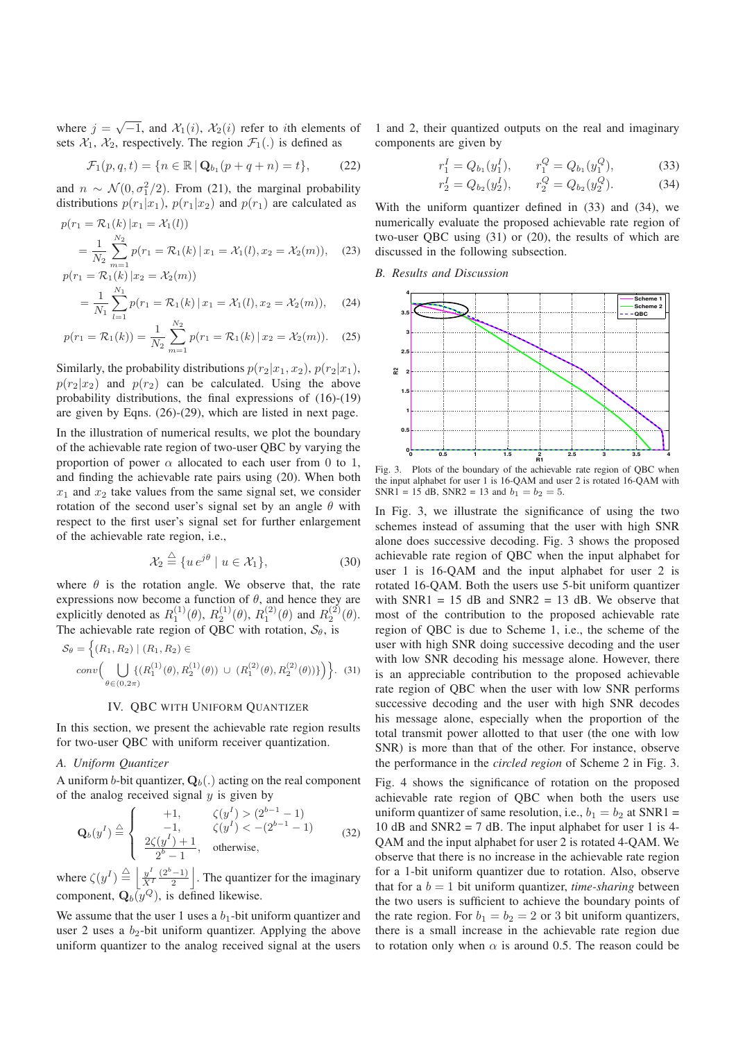where  $j = \sqrt{-1}$ , and  $\mathcal{X}_1(i)$ ,  $\mathcal{X}_2(i)$  refer to *i*th elements of sets  $\mathcal{X}_1$ ,  $\mathcal{X}_2$ , respectively. The region  $\mathcal{F}_1(.)$  is defined as

$$
\mathcal{F}_1(p,q,t) = \{ n \in \mathbb{R} \, | \, \mathbf{Q}_{b_1}(p+q+n) = t \},\tag{22}
$$

and  $n \sim \mathcal{N}(0, \sigma_1^2/2)$ . From (21), the marginal probability distributions  $p(r_1|x_1)$ ,  $p(r_1|x_2)$  and  $p(r_1)$  are calculated as

$$
p(r_1 = \mathcal{R}_1(k) | x_1 = \mathcal{X}_1(l))
$$
  
=  $\frac{1}{N_2} \sum_{m=1}^{N_2} p(r_1 = \mathcal{R}_1(k) | x_1 = \mathcal{X}_1(l), x_2 = \mathcal{X}_2(m)),$  (23)  

$$
p(r_1 = \mathcal{R}_1(k) | x_2 = \mathcal{X}_2(m))
$$

$$
= \frac{1}{N_1} \sum_{l=1}^{N_1} p(r_1 = \mathcal{R}_1(k) \,|\, x_1 = \mathcal{X}_1(l), x_2 = \mathcal{X}_2(m)), \quad (24)
$$

$$
p(r_1 = \mathcal{R}_1(k)) = \frac{1}{N_2} \sum_{m=1}^{N_2} p(r_1 = \mathcal{R}_1(k) | x_2 = \mathcal{X}_2(m)). \quad (25)
$$

Similarly, the probability distributions  $p(r_2|x_1, x_2)$ ,  $p(r_2|x_1)$ ,  $p(r_2|x_2)$  and  $p(r_2)$  can be calculated. Using the above probability distributions, the final expressions of (16)-(19) are given by Eqns. (26)-(29), which are listed in next page.

In the illustration of numerical results, we plot the boundary of the achievable rate region of two-user QBC by varying the proportion of power  $\alpha$  allocated to each user from 0 to 1, and finding the achievable rate pairs using (20). When both  $x_1$  and  $x_2$  take values from the same signal set, we consider rotation of the second user's signal set by an angle  $\theta$  with respect to the first user's signal set for further enlargement of the achievable rate region, i.e.,

$$
\mathcal{X}_2 \stackrel{\triangle}{=} \{ u \, e^{j\theta} \mid u \in \mathcal{X}_1 \},\tag{30}
$$

where  $\theta$  is the rotation angle. We observe that, the rate expressions now become a function of  $\theta$ , and hence they are explicitly denoted as  $R_1^{(1)}(\theta)$ ,  $R_2^{(1)}(\theta)$ ,  $R_1^{(2)}(\theta)$  and  $R_2^{(2)}(\theta)$ . The achievable rate region of QBC with rotation,  $S_{\theta}$ , is

$$
S_{\theta} = \left\{ (R_1, R_2) \mid (R_1, R_2) \in \text{conv}\Big(\bigcup_{\theta \in (0, 2\pi)} \left\{ (R_1^{(1)}(\theta), R_2^{(1)}(\theta)) \cup (R_1^{(2)}(\theta), R_2^{(2)}(\theta)) \right\} \right\}. (31)
$$

#### IV. QBC WITH UNIFORM QUANTIZER

In this section, we present the achievable rate region results for two-user QBC with uniform receiver quantization.

# A. Uniform Quantizer

A uniform b-bit quantizer,  $Q_b(.)$  acting on the real component of the analog received signal  $y$  is given by

$$
\mathbf{Q}_{b}(y^{I}) \stackrel{\triangle}{=} \begin{cases} & +1, & \zeta(y^{I}) > (2^{b-1} - 1) \\ & -1, & \zeta(y^{I}) < -(2^{b-1} - 1) \\ & \frac{2\zeta(y^{I}) + 1}{2^{b} - 1}, & \text{otherwise,} \end{cases}
$$
(32)

where  $\zeta(y^I) \stackrel{\triangle}{=} \left| \frac{y^I}{X^I} \right|$  $(2^b-1)$  $\frac{(-1)}{2}$ . The quantizer for the imaginary component,  $\mathbf{Q}_b(y^Q)$ , is defined likewise.

We assume that the user 1 uses a  $b_1$ -bit uniform quantizer and user 2 uses a  $b_2$ -bit uniform quantizer. Applying the above uniform quantizer to the analog received signal at the users 1 and 2, their quantized outputs on the real and imaginary components are given by

$$
r_1^I = Q_{b_1}(y_1^I), \t r_1^Q = Q_{b_1}(y_1^Q), \t (33)
$$
  
\n
$$
r_2^I = Q_{b_2}(y_2^I), \t r_2^Q = Q_{b_2}(y_2^Q).
$$
 (34)

With the uniform quantizer defined in (33) and (34), we numerically evaluate the proposed achievable rate region of two-user QBC using (31) or (20), the results of which are discussed in the following subsection.

B. Results and Discussion



Fig. 3. Plots of the boundary of the achievable rate region of QBC when the input alphabet for user 1 is 16-QAM and user 2 is rotated 16-QAM with SNR1 = 15 dB, SNR2 = 13 and  $b_1 = b_2 = 5$ .

In Fig. 3, we illustrate the significance of using the two schemes instead of assuming that the user with high SNR alone does successive decoding. Fig. 3 shows the proposed achievable rate region of QBC when the input alphabet for user 1 is 16-QAM and the input alphabet for user 2 is rotated 16-QAM. Both the users use 5-bit uniform quantizer with  $SNR1 = 15$  dB and  $SNR2 = 13$  dB. We observe that most of the contribution to the proposed achievable rate region of QBC is due to Scheme 1, i.e., the scheme of the user with high SNR doing successive decoding and the user with low SNR decoding his message alone. However, there is an appreciable contribution to the proposed achievable rate region of QBC when the user with low SNR performs successive decoding and the user with high SNR decodes his message alone, especially when the proportion of the total transmit power allotted to that user (the one with low SNR) is more than that of the other. For instance, observe the performance in the circled region of Scheme 2 in Fig. 3.

Fig. 4 shows the significance of rotation on the proposed achievable rate region of QBC when both the users use uniform quantizer of same resolution, i.e.,  $b_1 = b_2$  at SNR1 = 10 dB and SNR2 = 7 dB. The input alphabet for user 1 is 4-QAM and the input alphabet for user 2 is rotated 4-QAM. We observe that there is no increase in the achievable rate region for a 1-bit uniform quantizer due to rotation. Also, observe that for a  $b = 1$  bit uniform quantizer, *time-sharing* between the two users is sufficient to achieve the boundary points of the rate region. For  $b_1 = b_2 = 2$  or 3 bit uniform quantizers, there is a small increase in the achievable rate region due to rotation only when  $\alpha$  is around 0.5. The reason could be